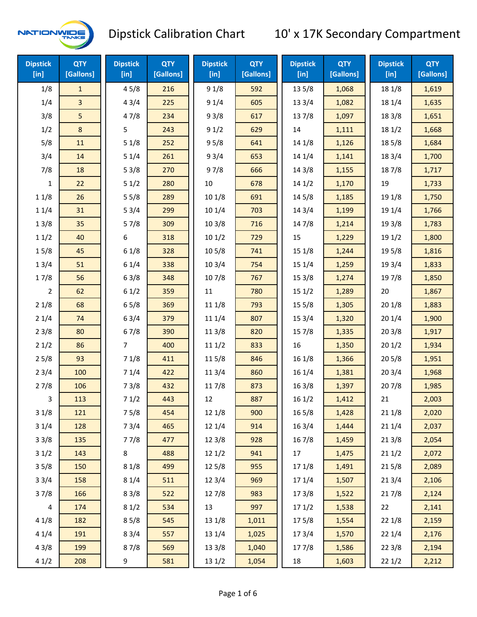

| <b>Dipstick</b><br>[in] | <b>QTY</b><br>[Gallons] | <b>Dipstick</b><br>$[$ in] | <b>QTY</b><br>[Gallons] | <b>Dipstick</b><br>[in] | <b>QTY</b><br>[Gallons] | <b>Dipstick</b><br>$[$ in] | <b>QTY</b><br>[Gallons] | <b>Dipstick</b><br>$[$ in] | <b>QTY</b><br>[Gallons] |
|-------------------------|-------------------------|----------------------------|-------------------------|-------------------------|-------------------------|----------------------------|-------------------------|----------------------------|-------------------------|
| 1/8                     | $\mathbf{1}$            | 45/8                       | 216                     | 91/8                    | 592                     | 13 5/8                     | 1,068                   | 18 1/8                     | 1,619                   |
| 1/4                     | $\overline{3}$          | 43/4                       | 225                     | 91/4                    | 605                     | 13 3/4                     | 1,082                   | 18 1/4                     | 1,635                   |
| 3/8                     | 5                       | 47/8                       | 234                     | 93/8                    | 617                     | 137/8                      | 1,097                   | 18 3/8                     | 1,651                   |
| 1/2                     | 8                       | 5                          | 243                     | 91/2                    | 629                     | 14                         | 1,111                   | 181/2                      | 1,668                   |
| 5/8                     | 11                      | 51/8                       | 252                     | 95/8                    | 641                     | 14 1/8                     | 1,126                   | 185/8                      | 1,684                   |
| 3/4                     | 14                      | 51/4                       | 261                     | 93/4                    | 653                     | 14 1/4                     | 1,141                   | 183/4                      | 1,700                   |
| 7/8                     | 18                      | 53/8                       | 270                     | 97/8                    | 666                     | 14 3/8                     | 1,155                   | 187/8                      | 1,717                   |
| 1                       | 22                      | 51/2                       | 280                     | $10\,$                  | 678                     | 141/2                      | 1,170                   | 19                         | 1,733                   |
| 11/8                    | 26                      | 55/8                       | 289                     | 101/8                   | 691                     | 14 5/8                     | 1,185                   | 19 1/8                     | 1,750                   |
| 11/4                    | 31                      | 53/4                       | 299                     | 10 1/4                  | 703                     | 14 3/4                     | 1,199                   | 19 1/4                     | 1,766                   |
| 13/8                    | 35                      | 57/8                       | 309                     | 103/8                   | 716                     | 147/8                      | 1,214                   | 19 3/8                     | 1,783                   |
| 11/2                    | 40                      | 6                          | 318                     | 101/2                   | 729                     | 15                         | 1,229                   | 19 1/2                     | 1,800                   |
| 15/8                    | 45                      | 61/8                       | 328                     | 10 <sub>5/8</sub>       | 741                     | 15 1/8                     | 1,244                   | 19 5/8                     | 1,816                   |
| 13/4                    | 51                      | 61/4                       | 338                     | 103/4                   | 754                     | 15 1/4                     | 1,259                   | 19 3/4                     | 1,833                   |
| 17/8                    | 56                      | 63/8                       | 348                     | 107/8                   | 767                     | 15 3/8                     | 1,274                   | 197/8                      | 1,850                   |
| $\overline{2}$          | 62                      | 61/2                       | 359                     | 11                      | 780                     | 151/2                      | 1,289                   | 20                         | 1,867                   |
| 21/8                    | 68                      | 65/8                       | 369                     | 11 1/8                  | 793                     | 15 5/8                     | 1,305                   | 201/8                      | 1,883                   |
| 21/4                    | 74                      | 63/4                       | 379                     | 11 1/4                  | 807                     | 153/4                      | 1,320                   | 201/4                      | 1,900                   |
| 23/8                    | 80                      | 67/8                       | 390                     | 11 3/8                  | 820                     | 15 7/8                     | 1,335                   | 203/8                      | 1,917                   |
| 21/2                    | 86                      | 7                          | 400                     | 111/2                   | 833                     | 16                         | 1,350                   | 201/2                      | 1,934                   |
| 25/8                    | 93                      | 71/8                       | 411                     | 115/8                   | 846                     | 16 1/8                     | 1,366                   | 205/8                      | 1,951                   |
| 23/4                    | 100                     | 71/4                       | 422                     | 11 3/4                  | 860                     | 16 1/4                     | 1,381                   | 203/4                      | 1,968                   |
| 27/8                    | 106                     | 73/8                       | 432                     | 117/8                   | 873                     | 16 3/8                     | 1,397                   | 207/8                      | 1,985                   |
| 3                       | 113                     | 71/2                       | 443                     | 12                      | 887                     | 161/2                      | 1,412                   | 21                         | 2,003                   |
| 31/8                    | 121                     | 75/8                       | 454                     | 12 1/8                  | 900                     | 16 5/8                     | 1,428                   | 211/8                      | 2,020                   |
| 31/4                    | 128                     | 73/4                       | 465                     | 12 1/4                  | 914                     | 16 3/4                     | 1,444                   | 211/4                      | 2,037                   |
| 33/8                    | 135                     | 77/8                       | 477                     | 12 3/8                  | 928                     | 16 7/8                     | 1,459                   | 213/8                      | 2,054                   |
| 31/2                    | 143                     | 8                          | 488                     | 121/2                   | 941                     | 17                         | 1,475                   | 211/2                      | 2,072                   |
| 35/8                    | 150                     | 81/8                       | 499                     | 125/8                   | 955                     | 17 1/8                     | 1,491                   | 215/8                      | 2,089                   |
| 33/4                    | 158                     | 81/4                       | 511                     | 12 3/4                  | 969                     | 17 1/4                     | 1,507                   | 213/4                      | 2,106                   |
| 37/8                    | 166                     | 83/8                       | 522                     | 127/8                   | 983                     | 173/8                      | 1,522                   | 217/8                      | 2,124                   |
| $\overline{\mathbf{4}}$ | 174                     | 81/2                       | 534                     | 13                      | 997                     | 171/2                      | 1,538                   | 22                         | 2,141                   |
| 41/8                    | 182                     | 85/8                       | 545                     | 13 1/8                  | 1,011                   | 175/8                      | 1,554                   | 221/8                      | 2,159                   |
| 41/4                    | 191                     | 83/4                       | 557                     | 13 1/4                  | 1,025                   | 17 3/4                     | 1,570                   | 221/4                      | 2,176                   |
| 43/8                    | 199                     | 87/8                       | 569                     | 13 3/8                  | 1,040                   | 177/8                      | 1,586                   | 223/8                      | 2,194                   |
| 41/2                    | 208                     | 9                          | 581                     | 13 1/2                  | 1,054                   | 18                         | 1,603                   | 221/2                      | 2,212                   |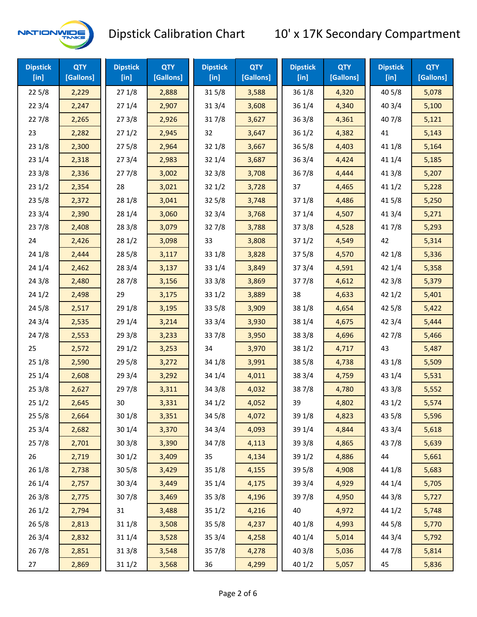

| <b>Dipstick</b><br>[in] | <b>QTY</b><br>[Gallons] | <b>Dipstick</b><br>$[$ in] | <b>QTY</b><br>[Gallons] | <b>Dipstick</b><br>$[$ in] | <b>QTY</b><br>[Gallons] | <b>Dipstick</b><br>$[$ in] | <b>QTY</b><br>[Gallons] | <b>Dipstick</b><br>$[$ in] | <b>QTY</b><br>[Gallons] |
|-------------------------|-------------------------|----------------------------|-------------------------|----------------------------|-------------------------|----------------------------|-------------------------|----------------------------|-------------------------|
| 225/8                   | 2,229                   | 271/8                      | 2,888                   | 315/8                      | 3,588                   | 36 1/8                     | 4,320                   | 40 5/8                     | 5,078                   |
| 223/4                   | 2,247                   | 271/4                      | 2,907                   | 313/4                      | 3,608                   | 36 1/4                     | 4,340                   | 403/4                      | 5,100                   |
| 227/8                   | 2,265                   | 273/8                      | 2,926                   | 317/8                      | 3,627                   | 363/8                      | 4,361                   | 407/8                      | 5,121                   |
| 23                      | 2,282                   | 271/2                      | 2,945                   | 32                         | 3,647                   | 361/2                      | 4,382                   | 41                         | 5,143                   |
| 23 1/8                  | 2,300                   | 275/8                      | 2,964                   | 32 1/8                     | 3,667                   | 365/8                      | 4,403                   | 41 1/8                     | 5,164                   |
| 23 1/4                  | 2,318                   | 273/4                      | 2,983                   | 32 1/4                     | 3,687                   | 363/4                      | 4,424                   | 41 1/4                     | 5,185                   |
| 23 3/8                  | 2,336                   | 277/8                      | 3,002                   | 323/8                      | 3,708                   | 367/8                      | 4,444                   | 413/8                      | 5,207                   |
| 231/2                   | 2,354                   | 28                         | 3,021                   | 321/2                      | 3,728                   | 37                         | 4,465                   | 411/2                      | 5,228                   |
| 235/8                   | 2,372                   | 28 1/8                     | 3,041                   | 325/8                      | 3,748                   | 371/8                      | 4,486                   | 41 5/8                     | 5,250                   |
| 233/4                   | 2,390                   | 28 1/4                     | 3,060                   | 323/4                      | 3,768                   | 371/4                      | 4,507                   | 41 3/4                     | 5,271                   |
| 237/8                   | 2,408                   | 28 3/8                     | 3,079                   | 327/8                      | 3,788                   | 373/8                      | 4,528                   | 417/8                      | 5,293                   |
| 24                      | 2,426                   | 281/2                      | 3,098                   | 33                         | 3,808                   | 371/2                      | 4,549                   | 42                         | 5,314                   |
| 24 1/8                  | 2,444                   | 285/8                      | 3,117                   | 33 1/8                     | 3,828                   | 375/8                      | 4,570                   | 42 1/8                     | 5,336                   |
| 24 1/4                  | 2,462                   | 28 3/4                     | 3,137                   | 33 1/4                     | 3,849                   | 373/4                      | 4,591                   | 42 1/4                     | 5,358                   |
| 243/8                   | 2,480                   | 287/8                      | 3,156                   | 33 3/8                     | 3,869                   | 377/8                      | 4,612                   | 42 3/8                     | 5,379                   |
| 241/2                   | 2,498                   | 29                         | 3,175                   | 331/2                      | 3,889                   | 38                         | 4,633                   | 421/2                      | 5,401                   |
| 245/8                   | 2,517                   | 29 1/8                     | 3,195                   | 335/8                      | 3,909                   | 38 1/8                     | 4,654                   | 42 5/8                     | 5,422                   |
| 243/4                   | 2,535                   | 29 1/4                     | 3,214                   | 33 3/4                     | 3,930                   | 38 1/4                     | 4,675                   | 42 3/4                     | 5,444                   |
| 24 7/8                  | 2,553                   | 293/8                      | 3,233                   | 337/8                      | 3,950                   | 38 3/8                     | 4,696                   | 42 7/8                     | 5,466                   |
| 25                      | 2,572                   | 291/2                      | 3,253                   | 34                         | 3,970                   | 38 1/2                     | 4,717                   | 43                         | 5,487                   |
| 251/8                   | 2,590                   | 295/8                      | 3,272                   | 34 1/8                     | 3,991                   | 385/8                      | 4,738                   | 43 1/8                     | 5,509                   |
| 251/4                   | 2,608                   | 29 3/4                     | 3,292                   | 34 1/4                     | 4,011                   | 38 3/4                     | 4,759                   | 43 1/4                     | 5,531                   |
| 253/8                   | 2,627                   | 297/8                      | 3,311                   | 34 3/8                     | 4,032                   | 387/8                      | 4,780                   | 43 3/8                     | 5,552                   |
| 251/2                   | 2,645                   | 30                         | 3,331                   | 34 1/2                     | 4,052                   | 39                         | 4,802                   | 431/2                      | 5,574                   |
| 255/8                   | 2,664                   | 30 1/8                     | 3,351                   | 345/8                      | 4,072                   | 39 1/8                     | 4,823                   | 43 5/8                     | 5,596                   |
| 25 3/4                  | 2,682                   | 30 1/4                     | 3,370                   | 34 3/4                     | 4,093                   | 39 1/4                     | 4,844                   | 43 3/4                     | 5,618                   |
| 257/8                   | 2,701                   | 303/8                      | 3,390                   | 347/8                      | 4,113                   | 39 3/8                     | 4,865                   | 437/8                      | 5,639                   |
| 26                      | 2,719                   | 301/2                      | 3,409                   | 35                         | 4,134                   | 39 1/2                     | 4,886                   | 44                         | 5,661                   |
| 26 1/8                  | 2,738                   | 305/8                      | 3,429                   | 35 1/8                     | 4,155                   | 39 5/8                     | 4,908                   | 44 1/8                     | 5,683                   |
| 26 1/4                  | 2,757                   | 30 3/4                     | 3,449                   | 35 1/4                     | 4,175                   | 39 3/4                     | 4,929                   | 44 1/4                     | 5,705                   |
| 263/8                   | 2,775                   | 307/8                      | 3,469                   | 353/8                      | 4,196                   | 397/8                      | 4,950                   | 44 3/8                     | 5,727                   |
| 261/2                   | 2,794                   | 31                         | 3,488                   | 351/2                      | 4,216                   | 40                         | 4,972                   | 44 1/2                     | 5,748                   |
| 26 5/8                  | 2,813                   | 31 1/8                     | 3,508                   | 35 5/8                     | 4,237                   | 40 1/8                     | 4,993                   | 44 5/8                     | 5,770                   |
| 263/4                   | 2,832                   | 31 1/4                     | 3,528                   | 35 3/4                     | 4,258                   | 40 1/4                     | 5,014                   | 44 3/4                     | 5,792                   |
| 267/8                   | 2,851                   | 31 3/8                     | 3,548                   | 357/8                      | 4,278                   | 40 3/8                     | 5,036                   | 447/8                      | 5,814                   |
| 27                      | 2,869                   | 311/2                      | 3,568                   | 36                         | 4,299                   | 40 1/2                     | 5,057                   | 45                         | 5,836                   |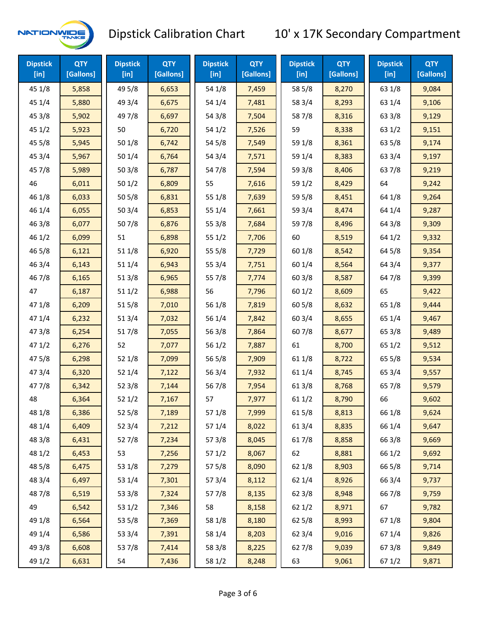

| <b>Dipstick</b><br>$[$ in] | <b>QTY</b><br>[Gallons] | <b>Dipstick</b><br>$[$ in] | <b>QTY</b><br>[Gallons] | <b>Dipstick</b><br>$[$ in] | <b>QTY</b><br>[Gallons] | <b>Dipstick</b><br>$[$ in] | <b>QTY</b><br>[Gallons] | <b>Dipstick</b><br>$[$ in] | <b>QTY</b><br>[Gallons] |
|----------------------------|-------------------------|----------------------------|-------------------------|----------------------------|-------------------------|----------------------------|-------------------------|----------------------------|-------------------------|
| 45 1/8                     | 5,858                   | 49 5/8                     | 6,653                   | 54 1/8                     | 7,459                   | 58 5/8                     | 8,270                   | 63 1/8                     | 9,084                   |
| 451/4                      | 5,880                   | 49 3/4                     | 6,675                   | 54 1/4                     | 7,481                   | 58 3/4                     | 8,293                   | 63 1/4                     | 9,106                   |
| 45 3/8                     | 5,902                   | 49 7/8                     | 6,697                   | 54 3/8                     | 7,504                   | 587/8                      | 8,316                   | 63 3/8                     | 9,129                   |
| 45 1/2                     | 5,923                   | 50                         | 6,720                   | 54 1/2                     | 7,526                   | 59                         | 8,338                   | 63 1/2                     | 9,151                   |
| 45 5/8                     | 5,945                   | 50 1/8                     | 6,742                   | 54 5/8                     | 7,549                   | 59 1/8                     | 8,361                   | 63 5/8                     | 9,174                   |
| 453/4                      | 5,967                   | 50 1/4                     | 6,764                   | 54 3/4                     | 7,571                   | 59 1/4                     | 8,383                   | 63 3/4                     | 9,197                   |
| 45 7/8                     | 5,989                   | 503/8                      | 6,787                   | 547/8                      | 7,594                   | 59 3/8                     | 8,406                   | 637/8                      | 9,219                   |
| 46                         | 6,011                   | 501/2                      | 6,809                   | 55                         | 7,616                   | 59 1/2                     | 8,429                   | 64                         | 9,242                   |
| 46 1/8                     | 6,033                   | 505/8                      | 6,831                   | 55 1/8                     | 7,639                   | 59 5/8                     | 8,451                   | 64 1/8                     | 9,264                   |
| 46 1/4                     | 6,055                   | 50 3/4                     | 6,853                   | 55 1/4                     | 7,661                   | 59 3/4                     | 8,474                   | 64 1/4                     | 9,287                   |
| 46 3/8                     | 6,077                   | 507/8                      | 6,876                   | 55 3/8                     | 7,684                   | 597/8                      | 8,496                   | 64 3/8                     | 9,309                   |
| 46 1/2                     | 6,099                   | 51                         | 6,898                   | 551/2                      | 7,706                   | 60                         | 8,519                   | 64 1/2                     | 9,332                   |
| 46 5/8                     | 6,121                   | 51 1/8                     | 6,920                   | 55 5/8                     | 7,729                   | 60 1/8                     | 8,542                   | 64 5/8                     | 9,354                   |
| 46 3/4                     | 6,143                   | 51 1/4                     | 6,943                   | 55 3/4                     | 7,751                   | 60 1/4                     | 8,564                   | 64 3/4                     | 9,377                   |
| 46 7/8                     | 6,165                   | 513/8                      | 6,965                   | 55 7/8                     | 7,774                   | 603/8                      | 8,587                   | 64 7/8                     | 9,399                   |
| 47                         | 6,187                   | 511/2                      | 6,988                   | 56                         | 7,796                   | 601/2                      | 8,609                   | 65                         | 9,422                   |
| 47 1/8                     | 6,209                   | 515/8                      | 7,010                   | 56 1/8                     | 7,819                   | 60 5/8                     | 8,632                   | 65 1/8                     | 9,444                   |
| 47 1/4                     | 6,232                   | 513/4                      | 7,032                   | 56 1/4                     | 7,842                   | 60 3/4                     | 8,655                   | 65 1/4                     | 9,467                   |
| 47 3/8                     | 6,254                   | 517/8                      | 7,055                   | 56 3/8                     | 7,864                   | 607/8                      | 8,677                   | 65 3/8                     | 9,489                   |
| 471/2                      | 6,276                   | 52                         | 7,077                   | 561/2                      | 7,887                   | 61                         | 8,700                   | 65 1/2                     | 9,512                   |
| 475/8                      | 6,298                   | 52 1/8                     | 7,099                   | 56 5/8                     | 7,909                   | 61 1/8                     | 8,722                   | 65 5/8                     | 9,534                   |
| 47 3/4                     | 6,320                   | 52 1/4                     | 7,122                   | 56 3/4                     | 7,932                   | 61 1/4                     | 8,745                   | 65 3/4                     | 9,557                   |
| 477/8                      | 6,342                   | 52 3/8                     | 7,144                   | 567/8                      | 7,954                   | 61 3/8                     | 8,768                   | 65 7/8                     | 9,579                   |
| 48                         | 6,364                   | 52 1/2                     | 7,167                   | 57                         | 7,977                   | 611/2                      | 8,790                   | 66                         | 9,602                   |
| 48 1/8                     | 6,386                   | 525/8                      | 7,189                   | 57 1/8                     | 7,999                   | 615/8                      | 8,813                   | 66 1/8                     | 9,624                   |
| 48 1/4                     | 6,409                   | 52 3/4                     | 7,212                   | 57 1/4                     | 8,022                   | 61 3/4                     | 8,835                   | 66 1/4                     | 9,647                   |
| 48 3/8                     | 6,431                   | 527/8                      | 7,234                   | 57 3/8                     | 8,045                   | 617/8                      | 8,858                   | 66 3/8                     | 9,669                   |
| 48 1/2                     | 6,453                   | 53                         | 7,256                   | 571/2                      | 8,067                   | 62                         | 8,881                   | 66 1/2                     | 9,692                   |
| 48 5/8                     | 6,475                   | 53 1/8                     | 7,279                   | 57 5/8                     | 8,090                   | 62 1/8                     | 8,903                   | 66 5/8                     | 9,714                   |
| 48 3/4                     | 6,497                   | 53 1/4                     | 7,301                   | 57 3/4                     | 8,112                   | 62 1/4                     | 8,926                   | 66 3/4                     | 9,737                   |
| 487/8                      | 6,519                   | 53 3/8                     | 7,324                   | 577/8                      | 8,135                   | 62 3/8                     | 8,948                   | 667/8                      | 9,759                   |
| 49                         | 6,542                   | 53 1/2                     | 7,346                   | 58                         | 8,158                   | 621/2                      | 8,971                   | 67                         | 9,782                   |
| 49 1/8                     | 6,564                   | 53 5/8                     | 7,369                   | 58 1/8                     | 8,180                   | 62 5/8                     | 8,993                   | 671/8                      | 9,804                   |
| 49 1/4                     | 6,586                   | 53 3/4                     | 7,391                   | 58 1/4                     | 8,203                   | 62 3/4                     | 9,016                   | 671/4                      | 9,826                   |
| 49 3/8                     | 6,608                   | 537/8                      | 7,414                   | 58 3/8                     | 8,225                   | 627/8                      | 9,039                   | 67 3/8                     | 9,849                   |
| 49 1/2                     | 6,631                   | 54                         | 7,436                   | 58 1/2                     | 8,248                   | 63                         | 9,061                   | 67 1/2                     | 9,871                   |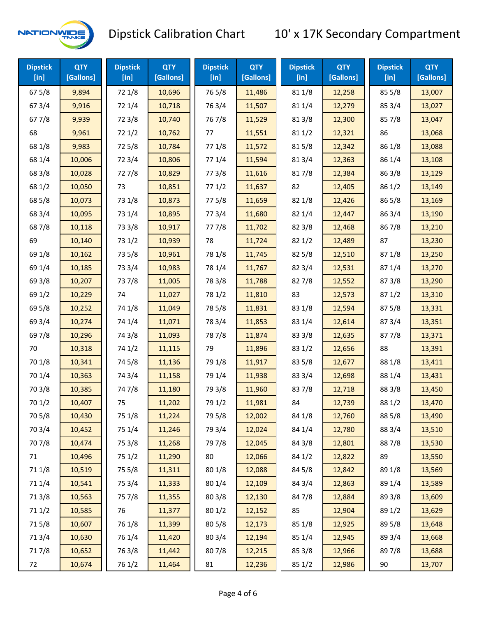

| <b>Dipstick</b><br>[in] | <b>QTY</b><br>[Gallons] | <b>Dipstick</b><br>$[$ in] | <b>QTY</b><br>[Gallons] | <b>Dipstick</b><br>$[$ in] | <b>QTY</b><br>[Gallons] | <b>Dipstick</b><br>$[$ in] | <b>QTY</b><br>[Gallons] | <b>Dipstick</b><br>$[$ in] | <b>QTY</b><br>[Gallons] |
|-------------------------|-------------------------|----------------------------|-------------------------|----------------------------|-------------------------|----------------------------|-------------------------|----------------------------|-------------------------|
| 67 5/8                  | 9,894                   | 72 1/8                     | 10,696                  | 765/8                      | 11,486                  | 81 1/8                     | 12,258                  | 85 5/8                     | 13,007                  |
| 673/4                   | 9,916                   | 72 1/4                     | 10,718                  | 763/4                      | 11,507                  | 81 1/4                     | 12,279                  | 85 3/4                     | 13,027                  |
| 67 7/8                  | 9,939                   | 72 3/8                     | 10,740                  | 767/8                      | 11,529                  | 81 3/8                     | 12,300                  | 857/8                      | 13,047                  |
| 68                      | 9,961                   | 72 1/2                     | 10,762                  | 77                         | 11,551                  | 81 1/2                     | 12,321                  | 86                         | 13,068                  |
| 68 1/8                  | 9,983                   | 725/8                      | 10,784                  | 77 1/8                     | 11,572                  | 815/8                      | 12,342                  | 86 1/8                     | 13,088                  |
| 68 1/4                  | 10,006                  | 72 3/4                     | 10,806                  | 77 1/4                     | 11,594                  | 813/4                      | 12,363                  | 86 1/4                     | 13,108                  |
| 68 3/8                  | 10,028                  | 727/8                      | 10,829                  | 77 3/8                     | 11,616                  | 817/8                      | 12,384                  | 86 3/8                     | 13,129                  |
| 68 1/2                  | 10,050                  | 73                         | 10,851                  | 771/2                      | 11,637                  | 82                         | 12,405                  | 86 1/2                     | 13,149                  |
| 68 5/8                  | 10,073                  | 73 1/8                     | 10,873                  | 775/8                      | 11,659                  | 82 1/8                     | 12,426                  | 86 5/8                     | 13,169                  |
| 68 3/4                  | 10,095                  | 73 1/4                     | 10,895                  | 773/4                      | 11,680                  | 82 1/4                     | 12,447                  | 863/4                      | 13,190                  |
| 687/8                   | 10,118                  | 73 3/8                     | 10,917                  | 777/8                      | 11,702                  | 82 3/8                     | 12,468                  | 867/8                      | 13,210                  |
| 69                      | 10,140                  | 73 1/2                     | 10,939                  | 78                         | 11,724                  | 821/2                      | 12,489                  | 87                         | 13,230                  |
| 69 1/8                  | 10,162                  | 73 5/8                     | 10,961                  | 78 1/8                     | 11,745                  | 82 5/8                     | 12,510                  | 871/8                      | 13,250                  |
| 69 1/4                  | 10,185                  | 73 3/4                     | 10,983                  | 78 1/4                     | 11,767                  | 82 3/4                     | 12,531                  | 87 1/4                     | 13,270                  |
| 69 3/8                  | 10,207                  | 737/8                      | 11,005                  | 78 3/8                     | 11,788                  | 827/8                      | 12,552                  | 873/8                      | 13,290                  |
| 69 1/2                  | 10,229                  | 74                         | 11,027                  | 78 1/2                     | 11,810                  | 83                         | 12,573                  | 871/2                      | 13,310                  |
| 69 5/8                  | 10,252                  | 74 1/8                     | 11,049                  | 78 5/8                     | 11,831                  | 83 1/8                     | 12,594                  | 875/8                      | 13,331                  |
| 69 3/4                  | 10,274                  | 74 1/4                     | 11,071                  | 78 3/4                     | 11,853                  | 83 1/4                     | 12,614                  | 87 3/4                     | 13,351                  |
| 69 7/8                  | 10,296                  | 74 3/8                     | 11,093                  | 787/8                      | 11,874                  | 83 3/8                     | 12,635                  | 877/8                      | 13,371                  |
| 70                      | 10,318                  | 74 1/2                     | 11,115                  | 79                         | 11,896                  | 83 1/2                     | 12,656                  | 88                         | 13,391                  |
| 70 1/8                  | 10,341                  | 74 5/8                     | 11,136                  | 79 1/8                     | 11,917                  | 83 5/8                     | 12,677                  | 88 1/8                     | 13,411                  |
| 70 1/4                  | 10,363                  | 74 3/4                     | 11,158                  | 79 1/4                     | 11,938                  | 83 3/4                     | 12,698                  | 88 1/4                     | 13,431                  |
| 70 3/8                  | 10,385                  | 747/8                      | 11,180                  | 79 3/8                     | 11,960                  | 837/8                      | 12,718                  | 88 3/8                     | 13,450                  |
| 70 1/2                  | 10,407                  | 75                         | 11,202                  | 79 1/2                     | 11,981                  | 84                         | 12,739                  | 88 1/2                     | 13,470                  |
| 70 5/8                  | 10,430                  | 75 1/8                     | 11,224                  | 79 5/8                     | 12,002                  | 84 1/8                     | 12,760                  | 88 5/8                     | 13,490                  |
| 70 3/4                  | 10,452                  | 75 1/4                     | 11,246                  | 79 3/4                     | 12,024                  | 84 1/4                     | 12,780                  | 88 3/4                     | 13,510                  |
| 70 7/8                  | 10,474                  | 75 3/8                     | 11,268                  | 79 7/8                     | 12,045                  | 84 3/8                     | 12,801                  | 887/8                      | 13,530                  |
| 71                      | 10,496                  | 75 1/2                     | 11,290                  | 80                         | 12,066                  | 84 1/2                     | 12,822                  | 89                         | 13,550                  |
| 71 1/8                  | 10,519                  | 75 5/8                     | 11,311                  | 80 1/8                     | 12,088                  | 84 5/8                     | 12,842                  | 89 1/8                     | 13,569                  |
| 71 1/4                  | 10,541                  | 75 3/4                     | 11,333                  | 80 1/4                     | 12,109                  | 84 3/4                     | 12,863                  | 89 1/4                     | 13,589                  |
| 713/8                   | 10,563                  | 75 7/8                     | 11,355                  | 80 3/8                     | 12,130                  | 847/8                      | 12,884                  | 89 3/8                     | 13,609                  |
| 71 1/2                  | 10,585                  | 76                         | 11,377                  | 80 1/2                     | 12,152                  | 85                         | 12,904                  | 89 1/2                     | 13,629                  |
| 715/8                   | 10,607                  | 76 1/8                     | 11,399                  | 80 5/8                     | 12,173                  | 85 1/8                     | 12,925                  | 89 5/8                     | 13,648                  |
| 713/4                   | 10,630                  | 76 1/4                     | 11,420                  | 80 3/4                     | 12,194                  | 85 1/4                     | 12,945                  | 89 3/4                     | 13,668                  |
| 717/8                   | 10,652                  | 763/8                      | 11,442                  | 807/8                      | 12,215                  | 85 3/8                     | 12,966                  | 897/8                      | 13,688                  |
| 72                      | 10,674                  | 76 1/2                     | 11,464                  | 81                         | 12,236                  | 85 1/2                     | 12,986                  | 90                         | 13,707                  |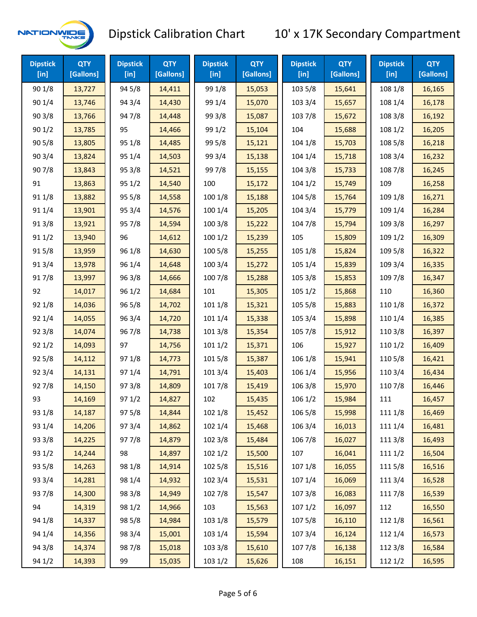

| <b>Dipstick</b><br>$[$ in] | <b>QTY</b><br>[Gallons] | <b>Dipstick</b><br>[in] | <b>QTY</b><br>[Gallons] | <b>Dipstick</b><br>$[$ in] | <b>QTY</b><br>[Gallons] | <b>Dipstick</b><br>$[$ in] | <b>QTY</b><br>[Gallons] | <b>Dipstick</b><br>$[$ in] | <b>QTY</b><br>[Gallons] |
|----------------------------|-------------------------|-------------------------|-------------------------|----------------------------|-------------------------|----------------------------|-------------------------|----------------------------|-------------------------|
| 90 1/8                     | 13,727                  | 94 5/8                  | 14,411                  | 99 1/8                     | 15,053                  | 103 5/8                    | 15,641                  | 108 1/8                    | 16,165                  |
| 90 1/4                     | 13,746                  | 94 3/4                  | 14,430                  | 99 1/4                     | 15,070                  | 103 3/4                    | 15,657                  | 108 1/4                    | 16,178                  |
| 903/8                      | 13,766                  | 947/8                   | 14,448                  | 99 3/8                     | 15,087                  | 103 7/8                    | 15,672                  | 108 3/8                    | 16,192                  |
| 901/2                      | 13,785                  | 95                      | 14,466                  | 99 1/2                     | 15,104                  | 104                        | 15,688                  | 108 1/2                    | 16,205                  |
| 905/8                      | 13,805                  | 95 1/8                  | 14,485                  | 99 5/8                     | 15,121                  | 104 1/8                    | 15,703                  | 108 5/8                    | 16,218                  |
| 903/4                      | 13,824                  | 95 1/4                  | 14,503                  | 99 3/4                     | 15,138                  | 104 1/4                    | 15,718                  | 108 3/4                    | 16,232                  |
| 907/8                      | 13,843                  | 95 3/8                  | 14,521                  | 997/8                      | 15,155                  | 104 3/8                    | 15,733                  | 108 7/8                    | 16,245                  |
| 91                         | 13,863                  | 95 1/2                  | 14,540                  | 100                        | 15,172                  | 1041/2                     | 15,749                  | 109                        | 16,258                  |
| 91 1/8                     | 13,882                  | 95 5/8                  | 14,558                  | 100 1/8                    | 15,188                  | 104 5/8                    | 15,764                  | 109 1/8                    | 16,271                  |
| 91 1/4                     | 13,901                  | 95 3/4                  | 14,576                  | 100 1/4                    | 15,205                  | 104 3/4                    | 15,779                  | 109 1/4                    | 16,284                  |
| 913/8                      | 13,921                  | 95 7/8                  | 14,594                  | 100 3/8                    | 15,222                  | 104 7/8                    | 15,794                  | 109 3/8                    | 16,297                  |
| 91 1/2                     | 13,940                  | 96                      | 14,612                  | 1001/2                     | 15,239                  | 105                        | 15,809                  | 109 1/2                    | 16,309                  |
| 915/8                      | 13,959                  | 96 1/8                  | 14,630                  | 100 5/8                    | 15,255                  | 105 1/8                    | 15,824                  | 109 5/8                    | 16,322                  |
| 913/4                      | 13,978                  | 96 1/4                  | 14,648                  | 100 3/4                    | 15,272                  | 105 1/4                    | 15,839                  | 109 3/4                    | 16,335                  |
| 917/8                      | 13,997                  | 963/8                   | 14,666                  | 100 7/8                    | 15,288                  | 105 3/8                    | 15,853                  | 109 7/8                    | 16,347                  |
| 92                         | 14,017                  | 96 1/2                  | 14,684                  | 101                        | 15,305                  | 105 1/2                    | 15,868                  | 110                        | 16,360                  |
| 92 1/8                     | 14,036                  | 96 5/8                  | 14,702                  | 101 1/8                    | 15,321                  | 105 5/8                    | 15,883                  | 110 1/8                    | 16,372                  |
| 92 1/4                     | 14,055                  | 96 3/4                  | 14,720                  | 101 1/4                    | 15,338                  | 105 3/4                    | 15,898                  | 110 1/4                    | 16,385                  |
| 92 3/8                     | 14,074                  | 967/8                   | 14,738                  | 101 3/8                    | 15,354                  | 105 7/8                    | 15,912                  | 110 3/8                    | 16,397                  |
| 921/2                      | 14,093                  | 97                      | 14,756                  | 1011/2                     | 15,371                  | 106                        | 15,927                  | 110 1/2                    | 16,409                  |
| 925/8                      | 14,112                  | 97 1/8                  | 14,773                  | 101 5/8                    | 15,387                  | 106 1/8                    | 15,941                  | 110 5/8                    | 16,421                  |
| 92 3/4                     | 14,131                  | 97 1/4                  | 14,791                  | 101 3/4                    | 15,403                  | 106 1/4                    | 15,956                  | 110 3/4                    | 16,434                  |
| 927/8                      | 14,150                  | 973/8                   | 14,809                  | 101 7/8                    | 15,419                  | 106 3/8                    | 15,970                  | 110 7/8                    | 16,446                  |
| 93                         | 14,169                  | 97 1/2                  | 14,827                  | 102                        | 15,435                  | 106 1/2                    | 15,984                  | 111                        | 16,457                  |
| 93 1/8                     | 14,187                  | 97 5/8                  | 14,844                  | 102 1/8                    | 15,452                  | 106 5/8                    | 15,998                  | 111 1/8                    | 16,469                  |
| 93 1/4                     | 14,206                  | 973/4                   | 14,862                  | 102 1/4                    | 15,468                  | 106 3/4                    | 16,013                  | 111 1/4                    | 16,481                  |
| 93 3/8                     | 14,225                  | 977/8                   | 14,879                  | 102 3/8                    | 15,484                  | 106 7/8                    | 16,027                  | 111 3/8                    | 16,493                  |
| 93 1/2                     | 14,244                  | 98                      | 14,897                  | 1021/2                     | 15,500                  | 107                        | 16,041                  | 1111/2                     | 16,504                  |
| 93 5/8                     | 14,263                  | 98 1/8                  | 14,914                  | 102 5/8                    | 15,516                  | 107 1/8                    | 16,055                  | 1115/8                     | 16,516                  |
| 93 3/4                     | 14,281                  | 98 1/4                  | 14,932                  | 102 3/4                    | 15,531                  | 107 1/4                    | 16,069                  | 111 3/4                    | 16,528                  |
| 937/8                      | 14,300                  | 98 3/8                  | 14,949                  | 102 7/8                    | 15,547                  | 107 3/8                    | 16,083                  | 111 7/8                    | 16,539                  |
| 94                         | 14,319                  | 98 1/2                  | 14,966                  | 103                        | 15,563                  | 1071/2                     | 16,097                  | 112                        | 16,550                  |
| 94 1/8                     | 14,337                  | 98 5/8                  | 14,984                  | 103 1/8                    | 15,579                  | 1075/8                     | 16,110                  | 112 1/8                    | 16,561                  |
| 94 1/4                     | 14,356                  | 98 3/4                  | 15,001                  | 103 1/4                    | 15,594                  | 107 3/4                    | 16,124                  | 112 1/4                    | 16,573                  |
| 94 3/8                     | 14,374                  | 987/8                   | 15,018                  | 103 3/8                    | 15,610                  | 1077/8                     | 16,138                  | 112 3/8                    | 16,584                  |
| 94 1/2                     | 14,393                  | 99                      | 15,035                  | 103 1/2                    | 15,626                  | 108                        | 16,151                  | 112 1/2                    | 16,595                  |